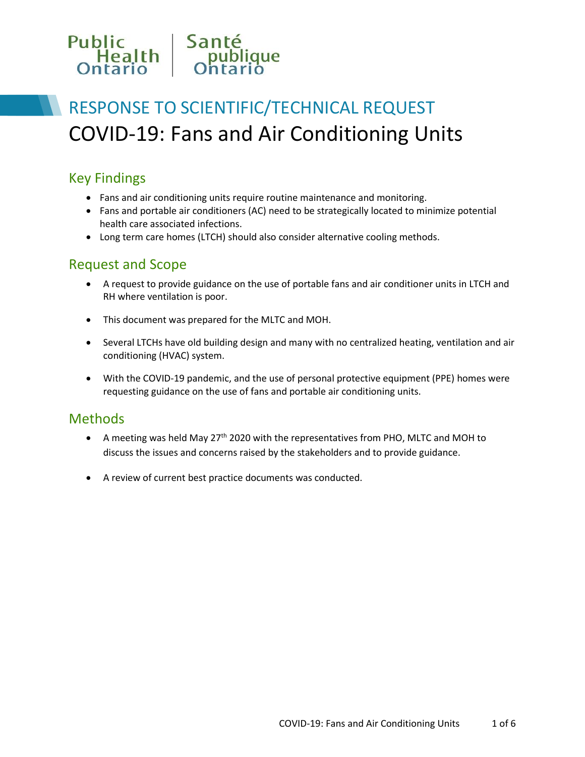# Public<br>Health<br>Optario Santé<br>
publique<br>
Optario

# RESPONSE TO SCIENTIFIC/TECHNICAL REQUEST COVID-19: Fans and Air Conditioning Units

# Key Findings

- Fans and air conditioning units require routine maintenance and monitoring.
- Fans and portable air conditioners (AC) need to be strategically located to minimize potential health care associated infections.
- Long term care homes (LTCH) should also consider alternative cooling methods.

### Request and Scope

- A request to provide guidance on the use of portable fans and air conditioner units in LTCH and RH where ventilation is poor.
- This document was prepared for the MLTC and MOH.
- Several LTCHs have old building design and many with no centralized heating, ventilation and air conditioning (HVAC) system.
- With the COVID-19 pandemic, and the use of personal protective equipment (PPE) homes were requesting guidance on the use of fans and portable air conditioning units.

### **Methods**

- A meeting was held May  $27<sup>th</sup>$  2020 with the representatives from PHO, MLTC and MOH to discuss the issues and concerns raised by the stakeholders and to provide guidance.
- A review of current best practice documents was conducted.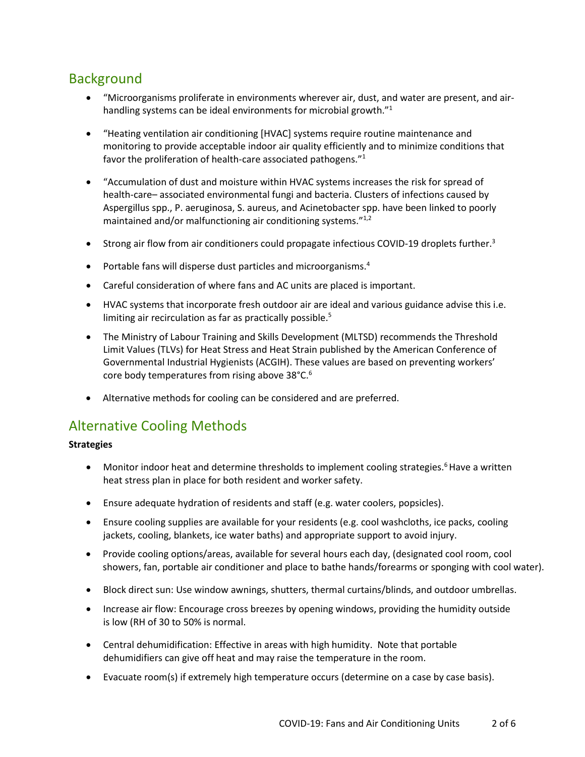# Background

- "Microorganisms proliferate in environments wherever air, dust, and water are present, and airhandling systems can be ideal environments for microbial growth."<sup>1</sup>
- "Heating ventilation air conditioning [HVAC] systems require routine maintenance and monitoring to provide acceptable indoor air quality efficiently and to minimize conditions that favor the proliferation of health-care associated pathogens."<sup>1</sup>
- "Accumulation of dust and moisture within HVAC systems increases the risk for spread of health-care– associated environmental fungi and bacteria. Clusters of infections caused by Aspergillus spp., P. aeruginosa, S. aureus, and Acinetobacter spp. have been linked to poorly maintained and/or malfunctioning air conditioning systems."<sup>1,2</sup>
- **Strong air flow from air conditioners could propagate infectious COVID-19 droplets further.**3
- Portable fans will disperse dust particles and microorganisms.<sup>4</sup>
- Careful consideration of where fans and AC units are placed is important.
- HVAC systems that incorporate fresh outdoor air are ideal and various guidance advise this i.e. limiting air recirculation as far as practically possible.<sup>5</sup>
- The Ministry of Labour Training and Skills Development (MLTSD) recommends the Threshold Limit Values (TLVs) for Heat Stress and Heat Strain published by the American Conference of Governmental Industrial Hygienists (ACGIH). These values are based on preventing workers' core body temperatures from rising above 38°C.<sup>6</sup>
- Alternative methods for cooling can be considered and are preferred.

## Alternative Cooling Methods

#### **Strategies**

- Monitor indoor heat and determine thresholds to implement cooling strategies.<sup>6</sup> Have a written heat stress plan in place for both resident and worker safety.
- Ensure adequate hydration of residents and staff (e.g. water coolers, popsicles).
- Ensure cooling supplies are available for your residents (e.g. cool washcloths, ice packs, cooling jackets, cooling, blankets, ice water baths) and appropriate support to avoid injury.
- Provide cooling options/areas, available for several hours each day, (designated cool room, cool showers, fan, portable air conditioner and place to bathe hands/forearms or sponging with cool water).
- Block direct sun: Use window awnings, shutters, thermal curtains/blinds, and outdoor umbrellas.
- Increase air flow: Encourage cross breezes by opening windows, providing the humidity outside is low (RH of 30 to 50% is normal.
- Central dehumidification: Effective in areas with high humidity. Note that portable dehumidifiers can give off heat and may raise the temperature in the room.
- Evacuate room(s) if extremely high temperature occurs (determine on a case by case basis).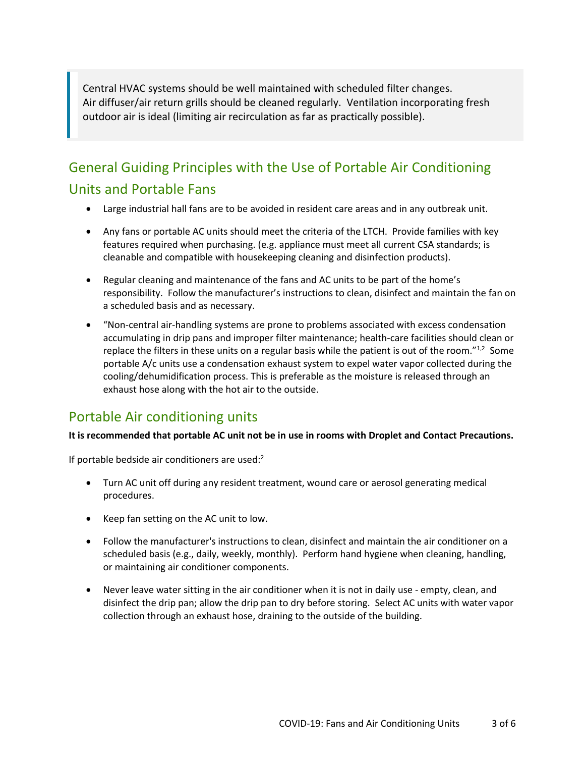Central HVAC systems should be well maintained with scheduled filter changes. Air diffuser/air return grills should be cleaned regularly. Ventilation incorporating fresh outdoor air is ideal (limiting air recirculation as far as practically possible).

# General Guiding Principles with the Use of Portable Air Conditioning Units and Portable Fans

- Large industrial hall fans are to be avoided in resident care areas and in any outbreak unit.
- Any fans or portable AC units should meet the criteria of the LTCH. Provide families with key features required when purchasing. (e.g. appliance must meet all current CSA standards; is cleanable and compatible with housekeeping cleaning and disinfection products).
- Regular cleaning and maintenance of the fans and AC units to be part of the home's responsibility. Follow the manufacturer's instructions to clean, disinfect and maintain the fan on a scheduled basis and as necessary.
- "Non-central air-handling systems are prone to problems associated with excess condensation accumulating in drip pans and improper filter maintenance; health-care facilities should clean or replace the filters in these units on a regular basis while the patient is out of the room." $1/2$  Some portable A/c units use a condensation exhaust system to expel water vapor collected during the cooling/dehumidification process. This is preferable as the moisture is released through an exhaust hose along with the hot air to the outside.

# Portable Air conditioning units

#### **It is recommended that portable AC unit not be in use in rooms with Droplet and Contact Precautions.**

If portable bedside air conditioners are used:<sup>2</sup>

- Turn AC unit off during any resident treatment, wound care or aerosol generating medical procedures.
- Keep fan setting on the AC unit to low.
- Follow the manufacturer's instructions to clean, disinfect and maintain the air conditioner on a scheduled basis (e.g., daily, weekly, monthly). Perform hand hygiene when cleaning, handling, or maintaining air conditioner components.
- Never leave water sitting in the air conditioner when it is not in daily use empty, clean, and disinfect the drip pan; allow the drip pan to dry before storing. Select AC units with water vapor collection through an exhaust hose, draining to the outside of the building.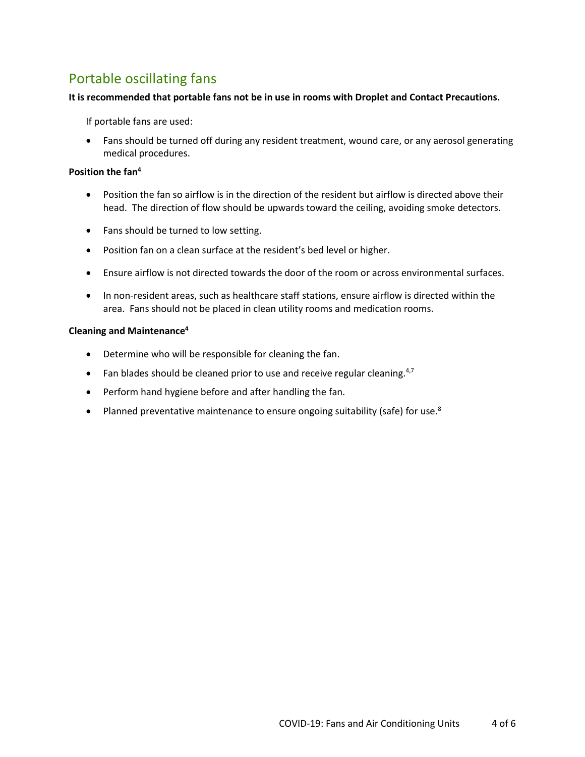# Portable oscillating fans

#### **It is recommended that portable fans not be in use in rooms with Droplet and Contact Precautions.**

If portable fans are used:

• Fans should be turned off during any resident treatment, wound care, or any aerosol generating medical procedures.

### **Position the fan<sup>4</sup>**

- Position the fan so airflow is in the direction of the resident but airflow is directed above their head. The direction of flow should be upwards toward the ceiling, avoiding smoke detectors.
- Fans should be turned to low setting.
- Position fan on a clean surface at the resident's bed level or higher.
- Ensure airflow is not directed towards the door of the room or across environmental surfaces.
- In non-resident areas, such as healthcare staff stations, ensure airflow is directed within the area. Fans should not be placed in clean utility rooms and medication rooms.

#### **Cleaning and Maintenance<sup>4</sup>**

- Determine who will be responsible for cleaning the fan.
- Fan blades should be cleaned prior to use and receive regular cleaning. $4,7$
- Perform hand hygiene before and after handling the fan.
- Planned preventative maintenance to ensure ongoing suitability (safe) for use.<sup>8</sup>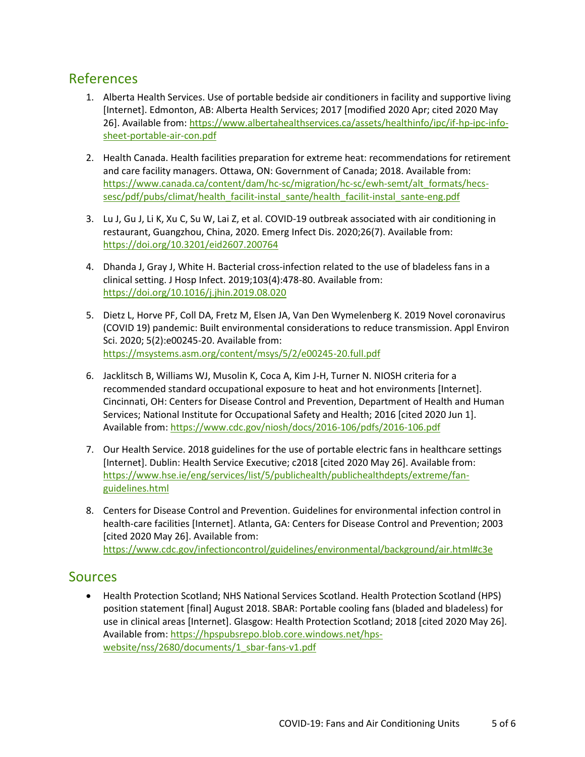## References

- 1. Alberta Health Services. Use of portable bedside air conditioners in facility and supportive living [Internet]. Edmonton, AB: Alberta Health Services; 2017 [modified 2020 Apr; cited 2020 May 26]. Available from: [https://www.albertahealthservices.ca/assets/healthinfo/ipc/if-hp-ipc-info](https://www.albertahealthservices.ca/assets/healthinfo/ipc/if-hp-ipc-info-sheet-portable-air-con.pdf)[sheet-portable-air-con.pdf](https://www.albertahealthservices.ca/assets/healthinfo/ipc/if-hp-ipc-info-sheet-portable-air-con.pdf)
- 2. Health Canada. Health facilities preparation for extreme heat: recommendations for retirement and care facility managers. Ottawa, ON: Government of Canada; 2018. Available from: [https://www.canada.ca/content/dam/hc-sc/migration/hc-sc/ewh-semt/alt\\_formats/hecs](https://www.canada.ca/content/dam/hc-sc/migration/hc-sc/ewh-semt/alt_formats/hecs-sesc/pdf/pubs/climat/health_facilit-instal_sante/health_facilit-instal_sante-eng.pdf)[sesc/pdf/pubs/climat/health\\_facilit-instal\\_sante/health\\_facilit-instal\\_sante-eng.pdf](https://www.canada.ca/content/dam/hc-sc/migration/hc-sc/ewh-semt/alt_formats/hecs-sesc/pdf/pubs/climat/health_facilit-instal_sante/health_facilit-instal_sante-eng.pdf)
- 3. Lu J, Gu J, Li K, Xu C, Su W, Lai Z, et al. COVID-19 outbreak associated with air conditioning in restaurant, Guangzhou, China, 2020. Emerg Infect Dis. 2020;26(7). Available from: <https://doi.org/10.3201/eid2607.200764>
- 4. Dhanda J, Gray J, White H. Bacterial cross-infection related to the use of bladeless fans in a clinical setting. J Hosp Infect. 2019;103(4):478-80. Available from: <https://doi.org/10.1016/j.jhin.2019.08.020>
- 5. Dietz L, Horve PF, Coll DA, Fretz M, Elsen JA, Van Den Wymelenberg K. 2019 Novel coronavirus (COVID 19) pandemic: Built environmental considerations to reduce transmission. Appl Environ Sci. 2020; 5(2):e00245-20. Available from: <https://msystems.asm.org/content/msys/5/2/e00245-20.full.pdf>
- 6. Jacklitsch B, Williams WJ, Musolin K, Coca A, Kim J-H, Turner N. NIOSH criteria for a recommended standard occupational exposure to heat and hot environments [Internet]. Cincinnati, OH: Centers for Disease Control and Prevention, Department of Health and Human Services; National Institute for Occupational Safety and Health; 2016 [cited 2020 Jun 1]. Available from[: https://www.cdc.gov/niosh/docs/2016-106/pdfs/2016-106.pdf](https://www.cdc.gov/niosh/docs/2016-106/pdfs/2016-106.pdf)
- 7. Our Health Service. 2018 guidelines for the use of portable electric fans in healthcare settings [Internet]. Dublin: Health Service Executive; c2018 [cited 2020 May 26]. Available from: [https://www.hse.ie/eng/services/list/5/publichealth/publichealthdepts/extreme/fan](https://www.hse.ie/eng/services/list/5/publichealth/publichealthdepts/extreme/fan-guidelines.html)[guidelines.html](https://www.hse.ie/eng/services/list/5/publichealth/publichealthdepts/extreme/fan-guidelines.html)
- 8. Centers for Disease Control and Prevention. Guidelines for environmental infection control in health-care facilities [Internet]. Atlanta, GA: Centers for Disease Control and Prevention; 2003 [cited 2020 May 26]. Available from: <https://www.cdc.gov/infectioncontrol/guidelines/environmental/background/air.html#c3e>

### **Sources**

 Health Protection Scotland; NHS National Services Scotland. Health Protection Scotland (HPS) position statement [final] August 2018. SBAR: Portable cooling fans (bladed and bladeless) for use in clinical areas [Internet]. Glasgow: Health Protection Scotland; 2018 [cited 2020 May 26]. Available from[: https://hpspubsrepo.blob.core.windows.net/hps](https://hpspubsrepo.blob.core.windows.net/hps-website/nss/2680/documents/1_sbar-fans-v1.pdf)[website/nss/2680/documents/1\\_sbar-fans-v1.pdf](https://hpspubsrepo.blob.core.windows.net/hps-website/nss/2680/documents/1_sbar-fans-v1.pdf)